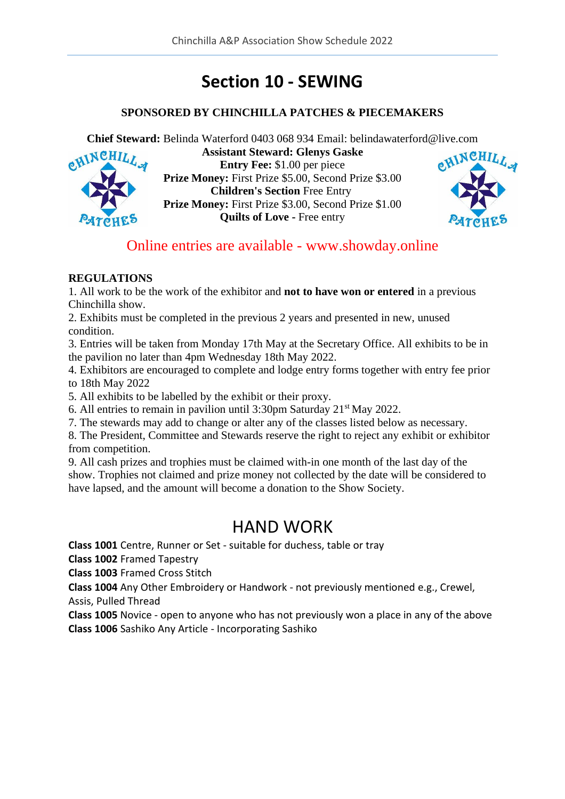# **Section 10 - SEWING**

#### **SPONSORED BY CHINCHILLA PATCHES & PIECEMAKERS**

**Chief Steward:** Belinda Waterford 0403 068 934 Email: belindawaterford@live.com



**Assistant Steward: Glenys Gaske Entry Fee:** \$1.00 per piece **Prize Money:** First Prize \$5.00, Second Prize \$3.00 **Children's Section** Free Entry **Prize Money:** First Prize \$3.00, Second Prize \$1.00 **Quilts of Love -** Free entry



### Online entries are available - www.showday.online

#### **REGULATIONS**

1. All work to be the work of the exhibitor and **not to have won or entered** in a previous Chinchilla show.

2. Exhibits must be completed in the previous 2 years and presented in new, unused condition.

3. Entries will be taken from Monday 17th May at the Secretary Office. All exhibits to be in the pavilion no later than 4pm Wednesday 18th May 2022.

4. Exhibitors are encouraged to complete and lodge entry forms together with entry fee prior to 18th May 2022

5. All exhibits to be labelled by the exhibit or their proxy.

6. All entries to remain in pavilion until 3:30pm Saturday 21st May 2022.

7. The stewards may add to change or alter any of the classes listed below as necessary.

8. The President, Committee and Stewards reserve the right to reject any exhibit or exhibitor from competition.

9. All cash prizes and trophies must be claimed with-in one month of the last day of the show. Trophies not claimed and prize money not collected by the date will be considered to have lapsed, and the amount will become a donation to the Show Society.

## HAND WORK

**Class 1001** Centre, Runner or Set - suitable for duchess, table or tray

**Class 1002** Framed Tapestry

**Class 1003** Framed Cross Stitch

**Class 1004** Any Other Embroidery or Handwork - not previously mentioned e.g., Crewel, Assis, Pulled Thread

**Class 1005** Novice - open to anyone who has not previously won a place in any of the above **Class 1006** Sashiko Any Article - Incorporating Sashiko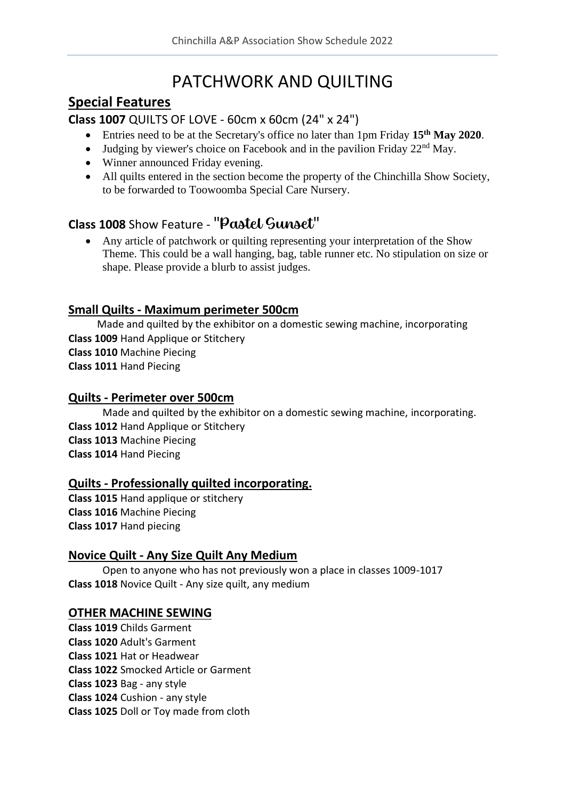# PATCHWORK AND QUILTING

## **Special Features**

**Class 1007** QUILTS OF LOVE - 60cm x 60cm (24" x 24")

- Entries need to be at the Secretary's office no later than 1pm Friday **15th May 2020**.
- Judging by viewer's choice on Facebook and in the pavilion Friday  $22<sup>nd</sup>$  May.
- Winner announced Friday evening.
- All quilts entered in the section become the property of the Chinchilla Show Society, to be forwarded to Toowoomba Special Care Nursery.

## **Class 1008** Show Feature - "Pastel Sunset"

• Any article of patchwork or quilting representing your interpretation of the Show Theme. This could be a wall hanging, bag, table runner etc. No stipulation on size or shape. Please provide a blurb to assist judges.

#### **Small Quilts - Maximum perimeter 500cm**

Made and quilted by the exhibitor on a domestic sewing machine, incorporating **Class 1009** Hand Applique or Stitchery **Class 1010** Machine Piecing **Class 1011** Hand Piecing

#### **Quilts - Perimeter over 500cm**

Made and quilted by the exhibitor on a domestic sewing machine, incorporating. **Class 1012** Hand Applique or Stitchery **Class 1013** Machine Piecing **Class 1014** Hand Piecing

#### **Quilts - Professionally quilted incorporating.**

**Class 1015** Hand applique or stitchery **Class 1016** Machine Piecing **Class 1017** Hand piecing

#### **Novice Quilt - Any Size Quilt Any Medium**

Open to anyone who has not previously won a place in classes 1009-1017 **Class 1018** Novice Quilt - Any size quilt, any medium

#### **OTHER MACHINE SEWING**

**Class 1019** Childs Garment **Class 1020** Adult's Garment **Class 1021** Hat or Headwear **Class 1022** Smocked Article or Garment **Class 1023** Bag - any style **Class 1024** Cushion - any style **Class 1025** Doll or Toy made from cloth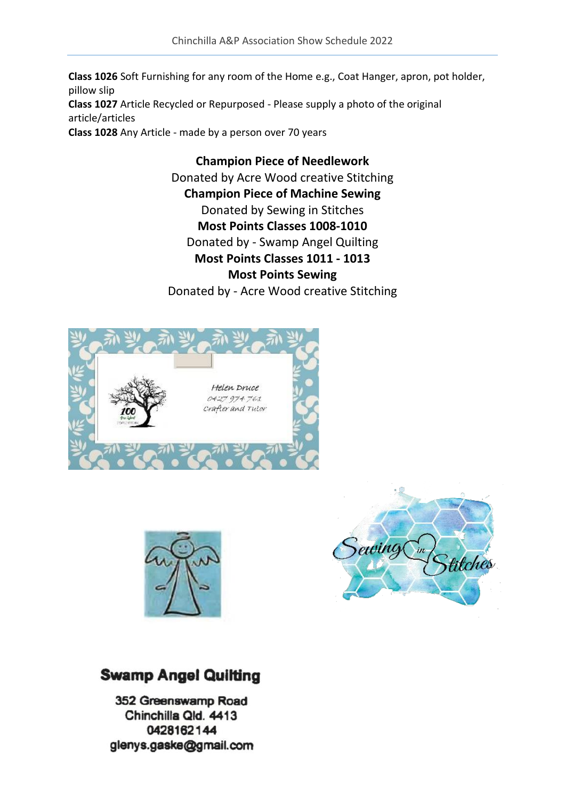**Class 1026** Soft Furnishing for any room of the Home e.g., Coat Hanger, apron, pot holder, pillow slip **Class 1027** Article Recycled or Repurposed - Please supply a photo of the original article/articles **Class 1028** Any Article - made by a person over 70 years

> **Champion Piece of Needlework** Donated by Acre Wood creative Stitching **Champion Piece of Machine Sewing** Donated by Sewing in Stitches **Most Points Classes 1008-1010** Donated by - Swamp Angel Quilting **Most Points Classes 1011 - 1013 Most Points Sewing** Donated by - Acre Wood creative Stitching







## **Swamp Angel Quilting**

352 Greenswamp Road Chinchilla Qld. 4413 0428162144 glenys.gaske@gmail.com